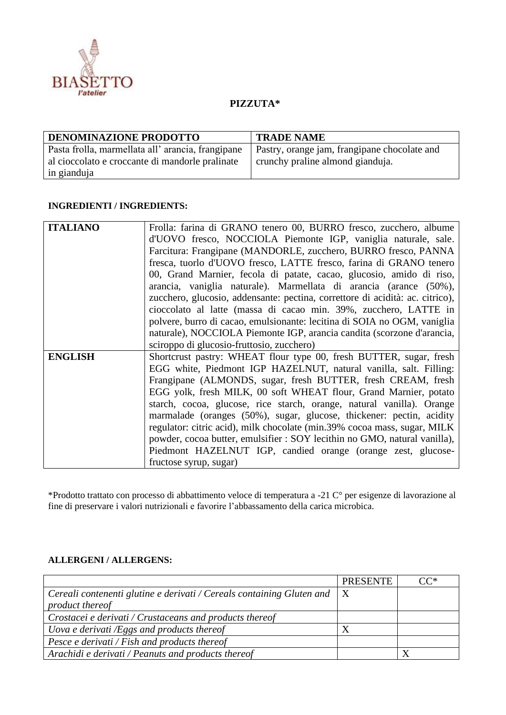

## **PIZZUTA\***

| <b>DENOMINAZIONE PRODOTTO</b>                    | <b>TRADE NAME</b>                            |
|--------------------------------------------------|----------------------------------------------|
| Pasta frolla, marmellata all'arancia, frangipane | Pastry, orange jam, frangipane chocolate and |
| al cioccolato e croccante di mandorle pralinate  | crunchy praline almond gianduja.             |
| in gianduja                                      |                                              |

## **INGREDIENTI / INGREDIENTS:**

| <b>ITALIANO</b> | Frolla: farina di GRANO tenero 00, BURRO fresco, zucchero, albume             |
|-----------------|-------------------------------------------------------------------------------|
|                 | d'UOVO fresco, NOCCIOLA Piemonte IGP, vaniglia naturale, sale.                |
|                 | Farcitura: Frangipane (MANDORLE, zucchero, BURRO fresco, PANNA                |
|                 | fresca, tuorlo d'UOVO fresco, LATTE fresco, farina di GRANO tenero            |
|                 | 00, Grand Marnier, fecola di patate, cacao, glucosio, amido di riso,          |
|                 | arancia, vaniglia naturale). Marmellata di arancia (arance (50%),             |
|                 | zucchero, glucosio, addensante: pectina, correttore di acidità: ac. citrico), |
|                 | cioccolato al latte (massa di cacao min. 39%, zucchero, LATTE in              |
|                 | polvere, burro di cacao, emulsionante: lecitina di SOIA no OGM, vaniglia      |
|                 | naturale), NOCCIOLA Piemonte IGP, arancia candita (scorzone d'arancia,        |
|                 | sciroppo di glucosio-fruttosio, zucchero)                                     |
| <b>ENGLISH</b>  | Shortcrust pastry: WHEAT flour type 00, fresh BUTTER, sugar, fresh            |
|                 | EGG white, Piedmont IGP HAZELNUT, natural vanilla, salt. Filling:             |
|                 | Frangipane (ALMONDS, sugar, fresh BUTTER, fresh CREAM, fresh                  |
|                 | EGG yolk, fresh MILK, 00 soft WHEAT flour, Grand Marnier, potato              |
|                 | starch, cocoa, glucose, rice starch, orange, natural vanilla). Orange         |
|                 | marmalade (oranges (50%), sugar, glucose, thickener: pectin, acidity          |
|                 | regulator: citric acid), milk chocolate (min.39% cocoa mass, sugar, MILK      |
|                 | powder, cocoa butter, emulsifier : SOY lecithin no GMO, natural vanilla),     |
|                 | Piedmont HAZELNUT IGP, candied orange (orange zest, glucose-                  |
|                 | fructose syrup, sugar)                                                        |

\*Prodotto trattato con processo di abbattimento veloce di temperatura a -21 C° per esigenze di lavorazione al fine di preservare i valori nutrizionali e favorire l'abbassamento della carica microbica.

## **ALLERGENI / ALLERGENS:**

|                                                                       | <b>PRESENTE</b> | ՐՐ* |
|-----------------------------------------------------------------------|-----------------|-----|
| Cereali contenenti glutine e derivati / Cereals containing Gluten and | $\mathbf{X}$    |     |
| product thereof                                                       |                 |     |
| Crostacei e derivati / Crustaceans and products thereof               |                 |     |
| Uova e derivati /Eggs and products thereof                            |                 |     |
| Pesce e derivati / Fish and products thereof                          |                 |     |
| Arachidi e derivati / Peanuts and products thereof                    |                 |     |